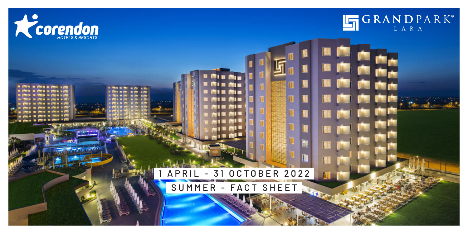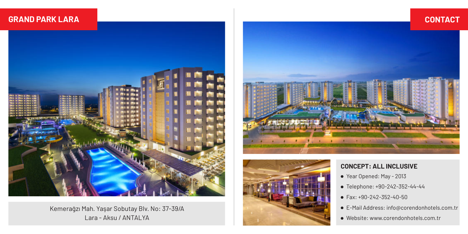

#### Kemerağzı Mah. Yaşar Sobutay Blv. No: 37-39/A Lara - Aksu / ANTALYA





#### **CONCEPT: ALL INCLUSIVE**

- Year Opened: May 2013
- Telephone: +90-242-352-44-44
- Fax: +90-242-352-40-50
- E-Mail Address: info@corendonhotels.com.tr
- Website: www.corendonhotels.com.tr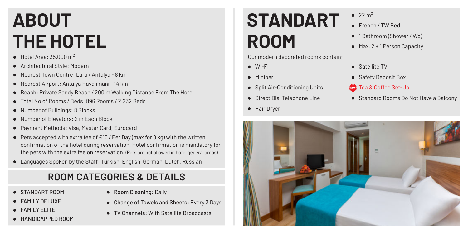# **ABOUT THE HOTEL**

- $\bullet$  Hotel Area: 35.000 m<sup>2</sup>
- Architectural Style: Modern
- Nearest Town Centre: Lara / Antalya 8 km
- Nearest Airport: Antalya Havalimanı 14 km
- Beach: Private Sandy Beach / 200 m Walking Distance From The Hotel
- Total No of Rooms / Beds: 896 Rooms / 2.232 Beds
- Number of Buildings: 8 Blocks
- Number of Elevators: 2 in Each Block
- Payment Methods: Visa, Master Card, Eurocard
- Pets accepted with extra fee of €15 / Per Day (max for 8 kg) with the written confirmation of the hotel during reservation. Hotel confirmation is mandatory for the pets with the extra fee on reservation. (Pets are not allowed in hotel general areas)
- Languages Spoken by the Staff: Turkish, English, German, Dutch, Russian

# **ROOM CATEGORIES & DETAILS**

- STANDART ROOM
- **FAMILY DELUXE**
- **FAMILY FLITE**
- **HANDICAPPED ROOM**
- Room Cleaning: Daily
- Change of Towels and Sheets: Every 3 Days
- TV Channels: With Satellite Broadcasts

# **STANDART ROOM**

Our modern decorated rooms contain;

- WI-FI
- Minibar
- Split Air-Conditioning Units
- **•** Direct Dial Telephone Line
- **•** Hair Dryer
- $\bullet$  22 m<sup>2</sup>
- **French / TW Bed**
- 1 Bathroom (Shower / Wc)
- Max. 2 + 1 Person Capacity
- Satellite TV
- Safety Deposit Box

#### **卷** Tea & Coffee Set-Up

● Standard Rooms Do Not Have a Balcony

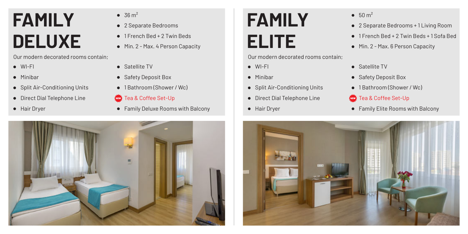# **FAMILY DELUXE**

Our modern decorated rooms contain;

- WI-FI
- $\bullet$  Minibar
- Split Air-Conditioning Units
- Direct Dial Telephone Line
- **•** Hair Dryer
- $\bullet$  36 m<sup>2</sup>
- 2 Separate Bedrooms
- 1 French Bed + 2 Twin Beds
- $\bullet$  Min. 2 Max. 4 Person Capacity
- Satellite TV
- Safety Deposit Box
- 1 Bathroom (Shower / Wc)
- Tea & Coffee Set-Up
- Family Deluxe Rooms with Balcony  **Hair Dryer Family Elite Rooms with Balcony Family Elite Rooms with Balcony**



# **FAMILY ELITE**

Our modern decorated rooms contain;

- WI-FI
- Minibar
- Split Air-Conditioning Units
- **•** Direct Dial Telephone Line
- **•** Hair Dryer
- $50 m<sup>2</sup>$
- 2 Separate Bedrooms + 1 Living Room
- 1 French Bed + 2 Twin Beds + 1 Sofa Bed
- $\bullet$  Min. 2 Max. 6 Person Capacity
- **•** Satellite TV
- Safety Deposit Box
- 1 Bathroom (Shower / Wc)
- **卷** Tea & Coffee Set-Up
- 

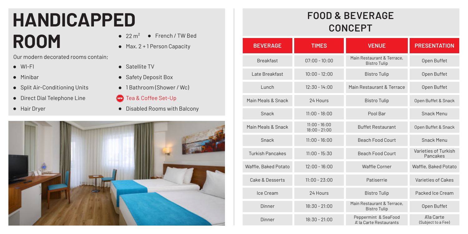# **HANDICAPPED ROOM** 22 m<sup>2</sup> • French / TW Bed

Our modern decorated rooms contain;

- WI-FI
- Minibar
- Split Air-Conditioning Units
- Direct Dial Telephone Line
- **•** Hair Dryer
- 
- Max. 2 + 1 Person Capacity
- Satellite TV
- Safety Deposit Box
- 1 Bathroom (Shower / Wc)
- **卷** Tea & Coffee Set-Up
- Disabled Rooms with Balcony



# **FOOD & BEVERAGE CONCEPT**

| <b>BEVERAGE</b>         | <b>TIMES</b>                       | <b>VENUE</b>                                      | <b>PRESENTATION</b>              |
|-------------------------|------------------------------------|---------------------------------------------------|----------------------------------|
| <b>Breakfast</b>        | $07.00 - 10.00$                    | Main Restaurant & Terrace,<br><b>Bistro Tulip</b> | Open Buffet                      |
| Late Breakfast          | $10:00 - 12:00$                    | <b>Bistro Tulip</b>                               | Open Buffet                      |
| I unch                  | $12:30 - 14:00$                    | Main Restaurant & Terrace                         | Open Buffet                      |
| Main Meals & Snack      | 24 Hours                           | <b>Bistro Tulip</b>                               | Open Buffet & Snack              |
| Snack                   | $11.00 - 18.00$                    | Pool Bar                                          | Snack Menu                       |
| Main Meals & Snack      | $11:00 - 16:00$<br>$18:00 - 21:00$ | <b>Buffet Restaurant</b>                          | Open Buffet & Snack              |
| Snack                   | $11:00 - 16:00$                    | <b>Beach Food Court</b>                           | Snack Menu                       |
| <b>Turkish Pancakes</b> | $11:00 - 15:30$                    | <b>Beach Epod Court</b>                           | Varieties of Turkish<br>Pancakes |
| Waffle, Baked Potato    | $12:00 - 16:00$                    | Waffle Corner                                     | Waffle, Baked Potato             |
| Cake & Desserts         | $11:00 - 23:00$                    | Patiserrie                                        | Varieties of Cakes               |
| Ice Cream               | 24 Hours                           | <b>Bistro Tulip</b>                               | Packed Ice Cream                 |
| Dinner                  | $18:30 - 21:00$                    | Main Restaurant & Terrace,<br><b>Bistro Tulip</b> | Open Buffet                      |
| Dinner                  | $18:30 - 21:00$                    | Peppermint & SeaFood<br>A' la Carte Restaurants   | A'la Carte<br>(Subject to a Fee) |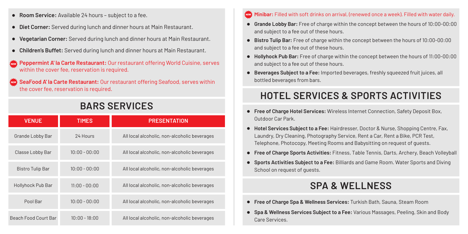- **Room Service:** Available 24 hours subject to a fee.
- **Diet Corner:** Served during lunch and dinner hours at Main Restaurant.
- **Vegetarian Corner:** Served during lunch and dinner hours at Main Restaurant.
- **Children's Buffet:** Served during lunch and dinner hours at Main Restaurant.
- **Peppermint A' la Carte Restaurant:** Our restaurant offering World Cuisine, serves within the cover fee, reservation is required.

**SeaFood A' la Carte Restaurant:** Our restaurant offering Seafood, serves within the cover fee, reservation is required.

### **BARS SERVICES**

| <b>VENUE</b>                | <b>TIMES</b>    | <b>PRESENTATION</b>                          |
|-----------------------------|-----------------|----------------------------------------------|
| Grande Lobby Bar            | 24 Hours        | All local alcoholic, non-alcoholic beverages |
| Classe Lobby Bar            | $10:00 - 00:00$ | All local alcoholic, non-alcoholic beverages |
| <b>Bistro Tulip Bar</b>     | $10:00 - 00:00$ | All local alcoholic, non-alcoholic beverages |
| Hollyhock Pub Bar           | $11:00 - 00:00$ | All local alcoholic, non-alcoholic beverages |
| Pool Bar                    | $10:00 - 00:00$ | All local alcoholic, non-alcoholic beverages |
| <b>Beach Food Court Bar</b> | $10:00 - 18:00$ | All local alcoholic, non-alcoholic beverages |

#### **Minibar:** Filled with soft drinks on arrival, (renewed once a week). Filled with water daily.

- **Grande Lobby Bar:** Free of charge within the concept between the hours of 10:00-00:00 and subject to a fee out of these hours.
- **Bistro Tulip Bar:** Free of charge within the concept between the hours of 10:00-00:00 and subject to a fee out of these hours.
- **Hollyhock Pub Bar:** Free of charge within the concept between the hours of 11:00-00:00 and subject to a fee out of these hours.
- **Beverages Subject to a Fee:** Imported beverages, freshly squeezed fruit juices, all bottled beverages from bars.

# **HOTEL SERVICES & SPORTS ACTIVITIES**

- **Free of Charge Hotel Services:** Wireless Internet Connection, Safety Deposit Box, Outdoor Car Park.
- **Hotel Services Subject to a Fee:** Hairdresser, Doctor & Nurse, Shopping Centre, Fax, Laundry, Dry Cleaning, Photography Service, Rent a Car, Rent a Bike, PCR Test, Telephone, Photocopy, Meeting Rooms and Babysitting on request of guests.
- **Free of Charge Sports Activities:** Fitness, Table Tennis, Darts, Archery, Beach Volleyball
- **Sports Activities Subject to a Fee:** Billiards and Game Room. Water Sports and Diving School on request of guests.

### **SPA & WELLNESS**

- **Free of Charge Spa & Wellness Services:** Turkish Bath, Sauna, Steam Room
- **Spa & Wellness Services Subject to a Fee:** Various Massages, Peeling, Skin and Body Care Services.